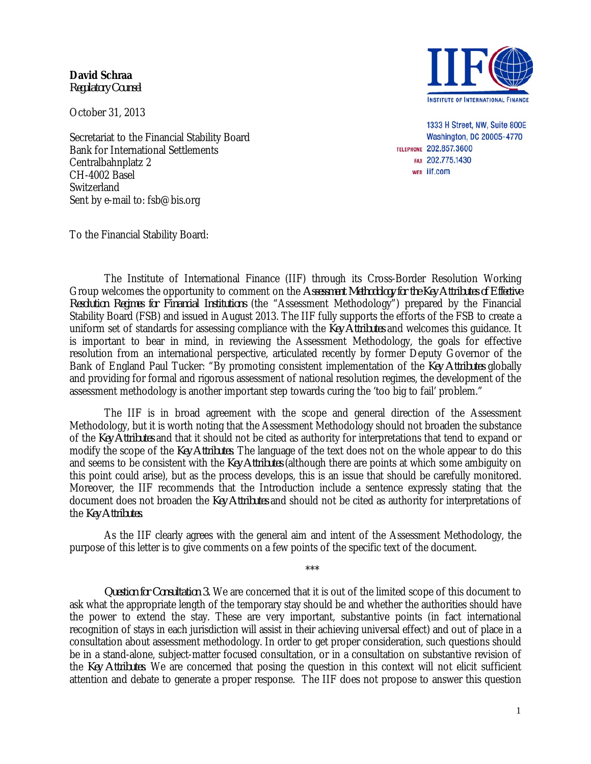**David Schraa** *Regulatory Counsel*

October 31, 2013

Secretariat to the Financial Stability Board Bank for International Settlements Centralbahnplatz 2 CH-4002 Basel Switzerland Sent by e-mail to: fsb@bis.org

To the Financial Stability Board:



1333 H Street, NW, Suite 800E Washington, DC 20005-4770 TELEPHONE 202.857.3600 FAX 202.775.1430 WEB IIf.com

The Institute of International Finance (IIF) through its Cross-Border Resolution Working Group welcomes the opportunity to comment on the *Assessment Methodology for the Key Attributes of Effective Resolution Regimes for Financial Institutions* (the "Assessment Methodology") prepared by the Financial Stability Board (FSB) and issued in August 2013. The IIF fully supports the efforts of the FSB to create a uniform set of standards for assessing compliance with the *Key Attributes* and welcomes this guidance. It is important to bear in mind, in reviewing the Assessment Methodology, the goals for effective resolution from an international perspective, articulated recently by former Deputy Governor of the Bank of England Paul Tucker: "By promoting consistent implementation of the *Key Attributes* globally and providing for formal and rigorous assessment of national resolution regimes, the development of the assessment methodology is another important step towards curing the 'too big to fail' problem."

The IIF is in broad agreement with the scope and general direction of the Assessment Methodology, but it is worth noting that the Assessment Methodology should not broaden the substance of the *Key Attributes* and that it should not be cited as authority for interpretations that tend to expand or modify the scope of the *Key Attributes*. The language of the text does not on the whole appear to do this and seems to be consistent with the *Key Attributes* (although there are points at which some ambiguity on this point could arise), but as the process develops, this is an issue that should be carefully monitored. Moreover, the IIF recommends that the Introduction include a sentence expressly stating that the document does not broaden the *Key Attributes* and should not be cited as authority for interpretations of the *Key Attributes*.

As the IIF clearly agrees with the general aim and intent of the Assessment Methodology, the purpose of this letter is to give comments on a few points of the specific text of the document.

\*\*\*

*Question for Consultation 3.* We are concerned that it is out of the limited scope of this document to ask what the appropriate length of the temporary stay should be and whether the authorities should have the power to extend the stay. These are very important, substantive points (in fact international recognition of stays in each jurisdiction will assist in their achieving universal effect) and out of place in a consultation about assessment methodology. In order to get proper consideration, such questions should be in a stand-alone, subject-matter focused consultation, or in a consultation on substantive revision of the *Key Attributes*. We are concerned that posing the question in this context will not elicit sufficient attention and debate to generate a proper response. The IIF does not propose to answer this question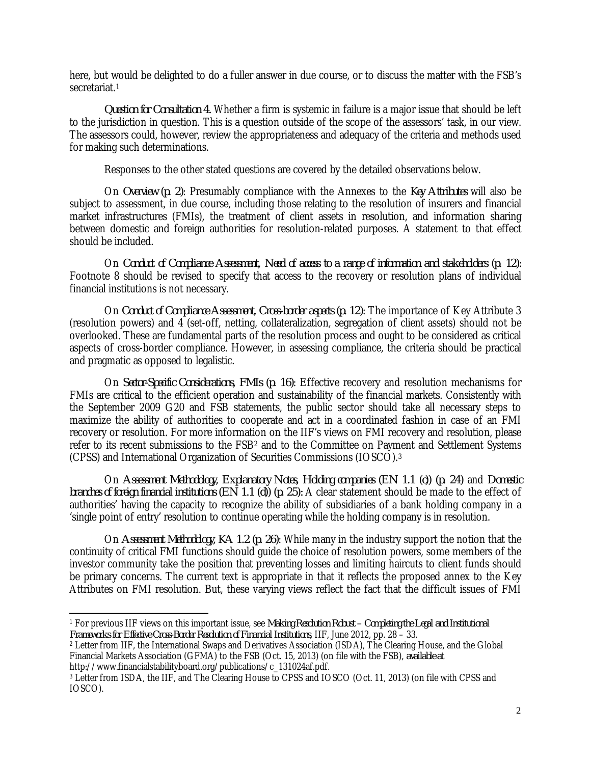here, but would be delighted to do a fuller answer in due course, or to discuss the matter with the FSB's secretariat.[1](#page-1-0)

*Question for Consultation 4.* Whether a firm is systemic in failure is a major issue that should be left to the jurisdiction in question. This is a question outside of the scope of the assessors' task, in our view. The assessors could, however, review the appropriateness and adequacy of the criteria and methods used for making such determinations.

Responses to the other stated questions are covered by the detailed observations below.

On *Overview (p. 2)*: Presumably compliance with the Annexes to the *Key Attributes* will also be subject to assessment, in due course, including those relating to the resolution of insurers and financial market infrastructures (FMIs), the treatment of client assets in resolution, and information sharing between domestic and foreign authorities for resolution-related purposes. A statement to that effect should be included.

On *Conduct of Compliance Assessment, Need of access to a range of information and stakeholders (p. 12):*  Footnote 8 should be revised to specify that access to the recovery or resolution plans of individual financial institutions is not necessary.

On *Conduct of Compliance Assessment, Cross-border aspects (p. 12)*: The importance of Key Attribute 3 (resolution powers) and 4 (set-off, netting, collateralization, segregation of client assets) should not be overlooked. These are fundamental parts of the resolution process and ought to be considered as critical aspects of cross-border compliance. However, in assessing compliance, the criteria should be practical and pragmatic as opposed to legalistic.

On *Sector-Specific Considerations, FMIs (p. 16)*: Effective recovery and resolution mechanisms for FMIs are critical to the efficient operation and sustainability of the financial markets. Consistently with the September 2009 G20 and FSB statements, the public sector should take all necessary steps to maximize the ability of authorities to cooperate and act in a coordinated fashion in case of an FMI recovery or resolution. For more information on the IIF's views on FMI recovery and resolution, please refer to its recent submissions to the FSB<sup>[2](#page-1-1)</sup> and to the Committee on Payment and Settlement Systems (CPSS) and International Organization of Securities Commissions (IOSCO).[3](#page-1-2)

On *Assessment Methodology, Explanatory Notes, Holding companies (EN 1.1 (c)) (p. 24)* and *Domestic branches of foreign financial institutions (EN 1.1 (d)) (p. 25):* A clear statement should be made to the effect of authorities' having the capacity to recognize the ability of subsidiaries of a bank holding company in a 'single point of entry' resolution to continue operating while the holding company is in resolution.

On *Assessment Methodology, KA 1.2 (p. 26)*: While many in the industry support the notion that the continuity of critical FMI functions should guide the choice of resolution powers, some members of the investor community take the position that preventing losses and limiting haircuts to client funds should be primary concerns. The current text is appropriate in that it reflects the proposed annex to the Key Attributes on FMI resolution. But, these varying views reflect the fact that the difficult issues of FMI

<span id="page-1-0"></span> $\overline{\phantom{a}}$ <sup>1</sup> For previous IIF views on this important issue, see *Making Resolution Robust – Completing the Legal and Institutional Frameworks for Effective Cross-Border Resolution of Financial Institutions*, IIF, June 2012, pp. 28 – 33.

<span id="page-1-1"></span><sup>2</sup> Letter from IIF, the International Swaps and Derivatives Association (ISDA), The Clearing House, and the Global Financial Markets Association (GFMA) to the FSB (Oct. 15, 2013) (on file with the FSB), *available at* http://www.financialstabilityboard.org/publications/c 131024af.pdf.

<span id="page-1-2"></span><sup>&</sup>lt;sup>3</sup> Letter from ISDA, the IIF, and The Clearing House to CPSS and IOSCO (Oct. 11, 2013) (on file with CPSS and IOSCO).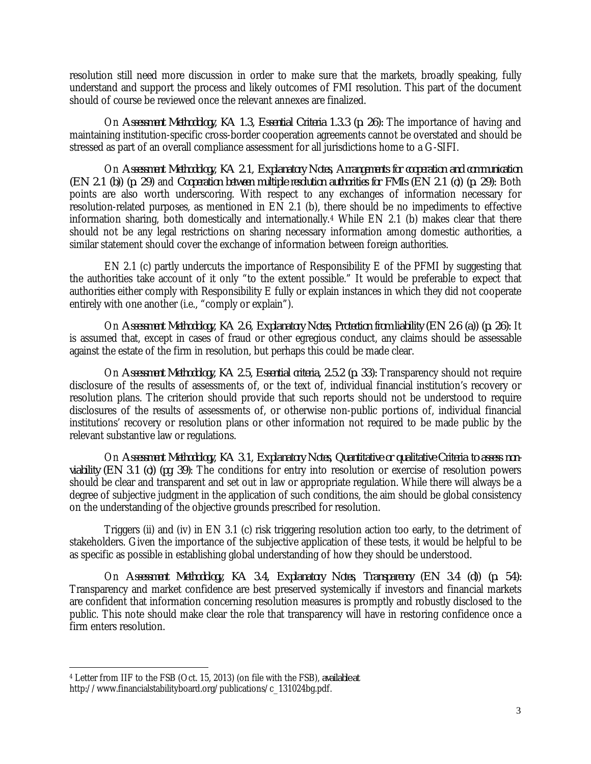resolution still need more discussion in order to make sure that the markets, broadly speaking, fully understand and support the process and likely outcomes of FMI resolution. This part of the document should of course be reviewed once the relevant annexes are finalized.

On *Assessment Methodology, KA 1.3, Essential Criteria 1.3.3 (p. 26):* The importance of having and maintaining institution-specific cross-border cooperation agreements cannot be overstated and should be stressed as part of an overall compliance assessment for all jurisdictions home to a G-SIFI.

On *Assessment Methodology, KA 2.1, Explanatory Notes, Arrangements for cooperation and communication (EN 2.1 (b)) (p. 29)* and *Cooperation between multiple resolution authorities for FMIs (EN 2.1 (c)) (p. 29):* Both points are also worth underscoring. With respect to any exchanges of information necessary for resolution-related purposes, as mentioned in EN 2.1 (b), there should be no impediments to effective information sharing, both domestically and internationally.[4](#page-2-0) While EN 2.1 (b) makes clear that there should not be any legal restrictions on sharing necessary information among domestic authorities, a similar statement should cover the exchange of information between foreign authorities.

EN 2.1 (c) partly undercuts the importance of Responsibility E of the PFMI by suggesting that the authorities take account of it only "to the extent possible." It would be preferable to expect that authorities either comply with Responsibility E fully or explain instances in which they did not cooperate entirely with one another (i.e., "comply or explain").

On *Assessment Methodology, KA 2.6, Explanatory Notes, Protection from liability (EN 2.6 (a)) (p. 26):* It is assumed that, except in cases of fraud or other egregious conduct, any claims should be assessable against the estate of the firm in resolution, but perhaps this could be made clear.

On *Assessment Methodology, KA 2.5, Essential criteria, 2.5.2 (p. 33):* Transparency should not require disclosure of the results of assessments of, or the text of, individual financial institution's recovery or resolution plans. The criterion should provide that such reports should not be understood to require disclosures of the results of assessments of, or otherwise non-public portions of, individual financial institutions' recovery or resolution plans or other information not required to be made public by the relevant substantive law or regulations.

On *Assessment Methodology, KA 3.1, Explanatory Notes, Quantitative or qualitative Criteria to assess nonviability (EN 3.1 (c)) (pg. 39)*: The conditions for entry into resolution or exercise of resolution powers should be clear and transparent and set out in law or appropriate regulation. While there will always be a degree of subjective judgment in the application of such conditions, the aim should be global consistency on the understanding of the objective grounds prescribed for resolution.

Triggers (ii) and (iv) in EN 3.1 (c) risk triggering resolution action too early, to the detriment of stakeholders. Given the importance of the subjective application of these tests, it would be helpful to be as specific as possible in establishing global understanding of how they should be understood.

On *Assessment Methodology, KA 3.4, Explanatory Notes, Transparency (EN 3.4 (d)) (p. 54):*  Transparency and market confidence are best preserved systemically if investors and financial markets are confident that information concerning resolution measures is promptly and robustly disclosed to the public. This note should make clear the role that transparency will have in restoring confidence once a firm enters resolution.

<span id="page-2-0"></span> $\overline{\phantom{a}}$ <sup>4</sup> Letter from IIF to the FSB (Oct. 15, 2013) (on file with the FSB), *available at*  http://www.financialstabilityboard.org/publications/c\_131024bg.pdf.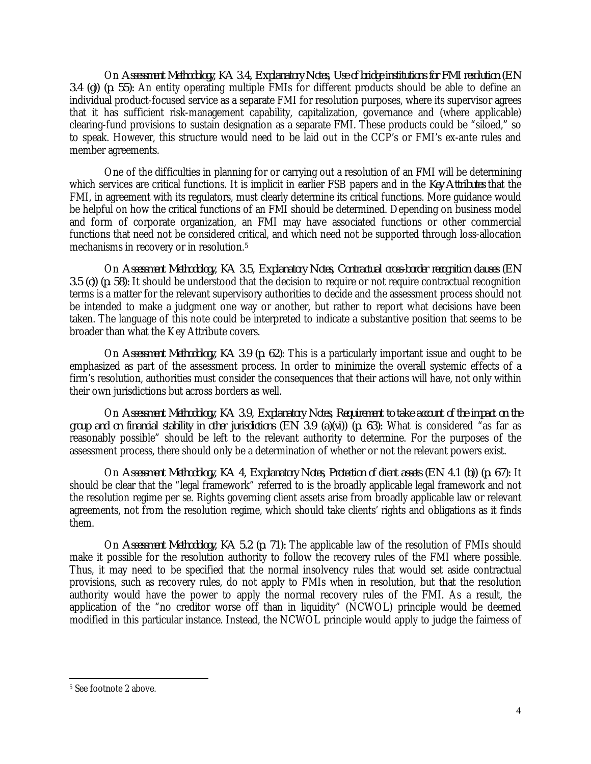On *Assessment Methodology, KA 3.4, Explanatory Notes, Use of bridge institutions for FMI resolution (EN 3.4 (g)) (p. 55):* An entity operating multiple FMIs for different products should be able to define an individual product-focused service as a separate FMI for resolution purposes, where its supervisor agrees that it has sufficient risk-management capability, capitalization, governance and (where applicable) clearing-fund provisions to sustain designation as a separate FMI. These products could be "siloed," so to speak. However, this structure would need to be laid out in the CCP's or FMI's ex-ante rules and member agreements.

One of the difficulties in planning for or carrying out a resolution of an FMI will be determining which services are critical functions. It is implicit in earlier FSB papers and in the *Key Attributes* that the FMI, in agreement with its regulators, must clearly determine its critical functions. More guidance would be helpful on how the critical functions of an FMI should be determined. Depending on business model and form of corporate organization, an FMI may have associated functions or other commercial functions that need not be considered critical, and which need not be supported through loss-allocation mechanisms in recovery or in resolution.[5](#page-3-0)

On *Assessment Methodology, KA 3.5, Explanatory Notes, Contractual cross-border recognition clauses (EN 3.5 (c)) (p. 58):* It should be understood that the decision to require or not require contractual recognition terms is a matter for the relevant supervisory authorities to decide and the assessment process should not be intended to make a judgment one way or another, but rather to report what decisions have been taken. The language of this note could be interpreted to indicate a substantive position that seems to be broader than what the Key Attribute covers.

On *Assessment Methodology, KA 3.9 (p. 62)*: This is a particularly important issue and ought to be emphasized as part of the assessment process. In order to minimize the overall systemic effects of a firm's resolution, authorities must consider the consequences that their actions will have, not only within their own jurisdictions but across borders as well.

On *Assessment Methodology, KA 3.9, Explanatory Notes, Requirement to take account of the impact on the group and on financial stability in other jurisdictions (EN 3.9 (a)(vi)) (p. 63):* What is considered "as far as reasonably possible" should be left to the relevant authority to determine. For the purposes of the assessment process, there should only be a determination of whether or not the relevant powers exist.

On *Assessment Methodology, KA 4, Explanatory Notes, Protection of client assets (EN 4.1 (b)) (p. 67):* It should be clear that the "legal framework" referred to is the broadly applicable legal framework and not the resolution regime per se. Rights governing client assets arise from broadly applicable law or relevant agreements, not from the resolution regime, which should take clients' rights and obligations as it finds them.

On *Assessment Methodology, KA 5.2 (p. 71):* The applicable law of the resolution of FMIs should make it possible for the resolution authority to follow the recovery rules of the FMI where possible. Thus, it may need to be specified that the normal insolvency rules that would set aside contractual provisions, such as recovery rules, do not apply to FMIs when in resolution, but that the resolution authority would have the power to apply the normal recovery rules of the FMI. As a result, the application of the "no creditor worse off than in liquidity" (NCWOL) principle would be deemed modified in this particular instance. Instead, the NCWOL principle would apply to judge the fairness of

<span id="page-3-0"></span> $\overline{\phantom{a}}$ <sup>5</sup> See footnote 2 above.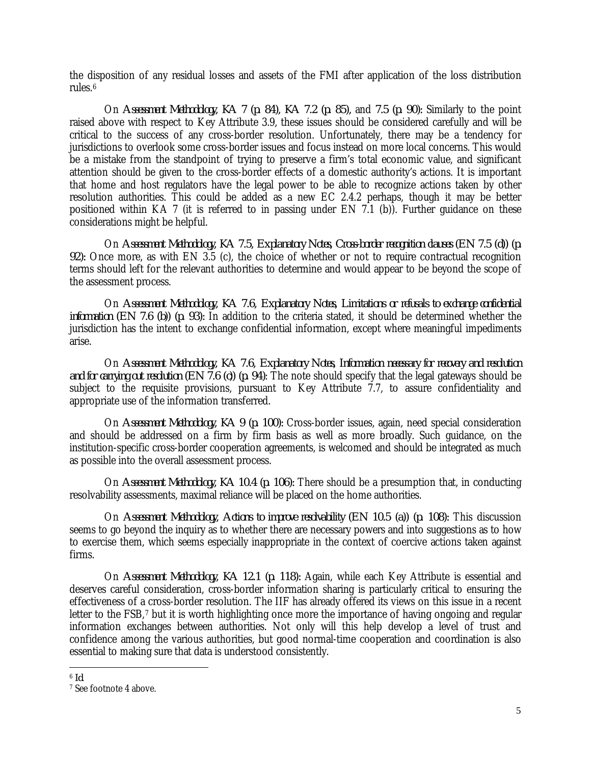the disposition of any residual losses and assets of the FMI after application of the loss distribution rules.[6](#page-4-0)

On *Assessment Methodology, KA 7 (p. 84), KA 7.2 (p. 85),* and *7.5 (p. 90):* Similarly to the point raised above with respect to Key Attribute 3.9, these issues should be considered carefully and will be critical to the success of any cross-border resolution. Unfortunately, there may be a tendency for jurisdictions to overlook some cross-border issues and focus instead on more local concerns. This would be a mistake from the standpoint of trying to preserve a firm's total economic value, and significant attention should be given to the cross-border effects of a domestic authority's actions. It is important that home and host regulators have the legal power to be able to recognize actions taken by other resolution authorities. This could be added as a new EC 2.4.2 perhaps, though it may be better positioned within KA 7 (it is referred to in passing under EN 7.1 (b)). Further guidance on these considerations might be helpful.

On *Assessment Methodology, KA 7.5, Explanatory Notes, Cross-border recognition clauses (EN 7.5 (d)) (p. 92):* Once more, as with EN 3.5 (c), the choice of whether or not to require contractual recognition terms should left for the relevant authorities to determine and would appear to be beyond the scope of the assessment process.

On *Assessment Methodology, KA 7.6, Explanatory Notes, Limitations or refusals to exchange confidential information (EN 7.6 (b)) (p. 93):* In addition to the criteria stated, it should be determined whether the jurisdiction has the intent to exchange confidential information, except where meaningful impediments arise.

On *Assessment Methodology, KA 7.6, Explanatory Notes, Information necessary for recovery and resolution and for carrying out resolution (EN 7.6 (c)) (p. 94)*: The note should specify that the legal gateways should be subject to the requisite provisions, pursuant to Key Attribute 7.7, to assure confidentiality and appropriate use of the information transferred.

On *Assessment Methodology, KA 9 (p. 100):* Cross-border issues, again, need special consideration and should be addressed on a firm by firm basis as well as more broadly. Such guidance, on the institution-specific cross-border cooperation agreements, is welcomed and should be integrated as much as possible into the overall assessment process.

On *Assessment Methodology, KA 10.4 (p. 106):* There should be a presumption that, in conducting resolvability assessments, maximal reliance will be placed on the home authorities.

On *Assessment Methodology, Actions to improve resolvability (EN 10.5 (a)) (p. 108):* This discussion seems to go beyond the inquiry as to whether there are necessary powers and into suggestions as to how to exercise them, which seems especially inappropriate in the context of coercive actions taken against firms.

On *Assessment Methodology, KA 12.1 (p. 118):* Again, while each Key Attribute is essential and deserves careful consideration, cross-border information sharing is particularly critical to ensuring the effectiveness of a cross-border resolution. The IIF has already offered its views on this issue in a recent letter to the FSB,<sup>[7](#page-4-1)</sup> but it is worth highlighting once more the importance of having ongoing and regular information exchanges between authorities. Not only will this help develop a level of trust and confidence among the various authorities, but good normal-time cooperation and coordination is also essential to making sure that data is understood consistently.

 $\overline{\phantom{a}}$ 

<span id="page-4-1"></span><span id="page-4-0"></span><sup>&</sup>lt;sup>6</sup> *Id.* 7 See footnote 4 above.